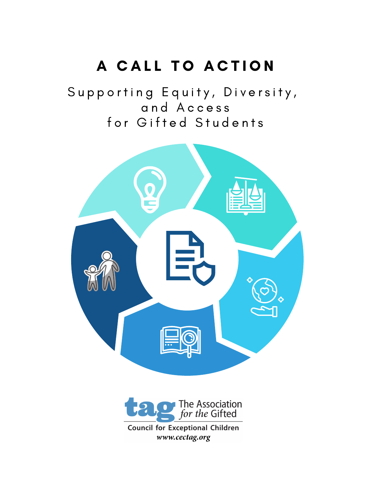# A CALL TO ACTION

Supporting Equity, Diversity, a n d A c c e s s for Gifted Students





**Council for Exceptional Children** www.cectag.org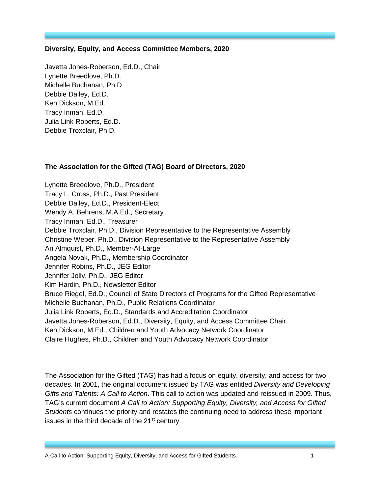#### **Diversity, Equity, and Access Committee Members, 2020**

Javetta Jones-Roberson, Ed.D., Chair Lynette Breedlove, Ph.D. Michelle Buchanan, Ph.D Debbie Dailey, Ed.D. Ken Dickson, M.Ed. Tracy Inman, Ed.D. Julia Link Roberts, Ed.D. Debbie Troxclair, Ph.D.

#### **The Association for the Gifted (TAG) Board of Directors, 2020**

Lynette Breedlove, Ph.D., President Tracy L. Cross, Ph.D., Past President Debbie Dailey, Ed.D., President-Elect Wendy A. Behrens, M.A.Ed., Secretary Tracy Inman, Ed.D., Treasurer Debbie Troxclair, Ph.D., Division Representative to the Representative Assembly Christine Weber, Ph.D., Division Representative to the Representative Assembly An Almquist, Ph.D., Member-At-Large Angela Novak, Ph.D., Membership Coordinator Jennifer Robins, Ph.D., JEG Editor Jennifer Jolly, Ph.D., JEG Editor Kim Hardin, Ph.D., Newsletter Editor Bruce Riegel, Ed.D., Council of State Directors of Programs for the Gifted Representative Michelle Buchanan, Ph.D., Public Relations Coordinator Julia Link Roberts, Ed.D., Standards and Accreditation Coordinator Javetta Jones-Roberson, Ed.D., Diversity, Equity, and Access Committee Chair Ken Dickson, M.Ed., Children and Youth Advocacy Network Coordinator Claire Hughes, Ph.D., Children and Youth Advocacy Network Coordinator

The Association for the Gifted (TAG) has had a focus on equity, diversity, and access for two decades. In 2001, the original document issued by TAG was entitled *Diversity and Developing Gifts and Talents: A Call to Action*. This call to action was updated and reissued in 2009. Thus, TAG's current document *A Call to Action: Supporting Equity, Diversity, and Access for Gifted Students* continues the priority and restates the continuing need to address these important issues in the third decade of the 21<sup>st</sup> century.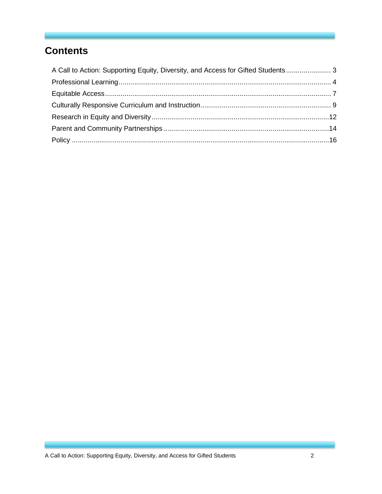# **Contents**

| A Call to Action: Supporting Equity, Diversity, and Access for Gifted Students 3 |  |
|----------------------------------------------------------------------------------|--|
|                                                                                  |  |
|                                                                                  |  |
|                                                                                  |  |
|                                                                                  |  |
|                                                                                  |  |
|                                                                                  |  |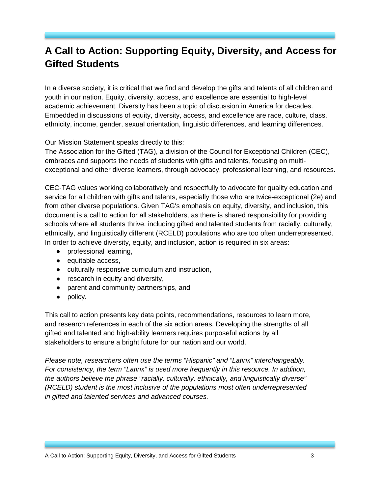# <span id="page-3-0"></span>**A Call to Action: Supporting Equity, Diversity, and Access for Gifted Students**

In a diverse society, it is critical that we find and develop the gifts and talents of all children and youth in our nation. Equity, diversity, access, and excellence are essential to high-level academic achievement. Diversity has been a topic of discussion in America for decades. Embedded in discussions of equity, diversity, access, and excellence are race, culture, class, ethnicity, income, gender, sexual orientation, linguistic differences, and learning differences.

Our Mission Statement speaks directly to this:

The Association for the Gifted (TAG), a division of the Council for Exceptional Children (CEC), embraces and supports the needs of students with gifts and talents, focusing on multiexceptional and other diverse learners, through advocacy, professional learning, and resources.

CEC-TAG values working collaboratively and respectfully to advocate for quality education and service for all children with gifts and talents, especially those who are twice-exceptional (2e) and from other diverse populations. Given TAG's emphasis on equity, diversity, and inclusion, this document is a call to action for all stakeholders, as there is shared responsibility for providing schools where all students thrive, including gifted and talented students from racially, culturally, ethnically, and linguistically different (RCELD) populations who are too often underrepresented. In order to achieve diversity, equity, and inclusion, action is required in six areas:

- professional learning,
- equitable access,
- culturally responsive curriculum and instruction,
- research in equity and diversity,
- parent and community partnerships, and
- policy.

This call to action presents key data points, recommendations, resources to learn more, and research references in each of the six action areas. Developing the strengths of all gifted and talented and high-ability learners requires purposeful actions by all stakeholders to ensure a bright future for our nation and our world.

*Please note, researchers often use the terms "Hispanic" and "Latinx" interchangeably. For consistency, the term "Latinx" is used more frequently in this resource. In addition, the authors believe the phrase "racially, culturally, ethnically, and linguistically diverse" (RCELD) student is the most inclusive of the populations most often underrepresented in gifted and talented services and advanced courses.*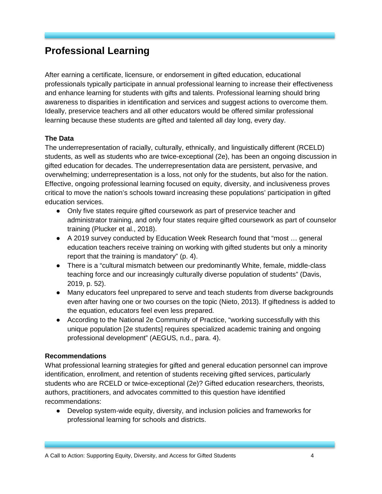# <span id="page-4-0"></span>**Professional Learning**

After earning a certificate, licensure, or endorsement in gifted education, educational professionals typically participate in annual professional learning to increase their effectiveness and enhance learning for students with gifts and talents. Professional learning should bring awareness to disparities in identification and services and suggest actions to overcome them. Ideally, preservice teachers and all other educators would be offered similar professional learning because these students are gifted and talented all day long, every day.

#### **The Data**

The underrepresentation of racially, culturally, ethnically, and linguistically different (RCELD) students, as well as students who are twice-exceptional (2e), has been an ongoing discussion in gifted education for decades. The underrepresentation data are persistent, pervasive, and overwhelming; underrepresentation is a loss, not only for the students, but also for the nation. Effective, ongoing professional learning focused on equity, diversity, and inclusiveness proves critical to move the nation's schools toward increasing these populations' participation in gifted education services.

- Only five states require gifted coursework as part of preservice teacher and administrator training, and only four states require gifted coursework as part of counselor training (Plucker et al., 2018).
- A 2019 survey conducted by Education Week Research found that "most ... general education teachers receive training on working with gifted students but only a minority report that the training is mandatory" (p. 4).
- There is a "cultural mismatch between our predominantly White, female, middle-class teaching force and our increasingly culturally diverse population of students" (Davis, 2019, p. 52).
- Many educators feel unprepared to serve and teach students from diverse backgrounds even after having one or two courses on the topic (Nieto, 2013). If giftedness is added to the equation, educators feel even less prepared.
- According to the National 2e Community of Practice, "working successfully with this unique population [2e students] requires specialized academic training and ongoing professional development" (AEGUS, n.d., para. 4).

#### **Recommendations**

What professional learning strategies for gifted and general education personnel can improve identification, enrollment, and retention of students receiving gifted services, particularly students who are RCELD or twice-exceptional (2e)? Gifted education researchers, theorists, authors, practitioners, and advocates committed to this question have identified recommendations:

● Develop system-wide equity, diversity, and inclusion policies and frameworks for professional learning for schools and districts.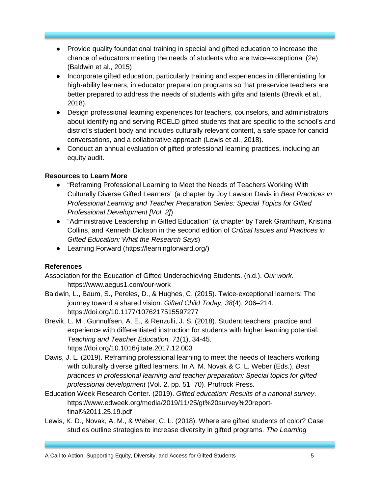- Provide quality foundational training in special and gifted education to increase the chance of educators meeting the needs of students who are twice-exceptional (2e) (Baldwin et al., 2015)
- Incorporate gifted education, particularly training and experiences in differentiating for high-ability learners, in educator preparation programs so that preservice teachers are better prepared to address the needs of students with gifts and talents (Brevik et al., 2018).
- Design professional learning experiences for teachers, counselors, and administrators about identifying and serving RCELD gifted students that are specific to the school's and district's student body and includes culturally relevant content, a safe space for candid conversations, and a collaborative approach (Lewis et al., 2018).
- Conduct an annual evaluation of gifted professional learning practices, including an equity audit.

- "Reframing Professional Learning to Meet the Needs of Teachers Working With Culturally Diverse Gifted Learners" (a chapter by Joy Lawson Davis in *Best Practices in Professional Learning and Teacher Preparation Series: Special Topics for Gifted Professional Development [Vol. 2]*)
- "Administrative Leadership in Gifted Education" (a chapter by Tarek Grantham, Kristina Collins, and Kenneth Dickson in the second edition of *Critical Issues and Practices in Gifted Education: What the Research Says*)
- Learning Forward (https://learningforward.org/)

# **References**

Association for the Education of Gifted Underachieving Students. (n.d.). *Our work*. https://www.aegus1.com/our-work

- Baldwin, L., Baum, S., Pereles, D., & Hughes, C. (2015). Twice-exceptional learners: The journey toward a shared vision. *Gifted Child Today, 38*(4), 206–214. [https://doi.org/10.1177/1076217515597277](https://doi.org/10.1177%2F1076217515597277)
- Brevik, L. M., Gunnulfsen, A. E., & Renzulli, J. S. (2018). Student teachers' practice and experience with differentiated instruction for students with higher learning potential. *Teaching and Teacher Education, 71*(1), 34-45. https://doi.org/10.1016/j.tate.2017.12.003
- Davis, J. L. (2019). Reframing professional learning to meet the needs of teachers working with culturally diverse gifted learners. In A. M. Novak & C. L. Weber (Eds.), *Best practices in professional learning and teacher preparation: Special topics for gifted professional development* (Vol. 2, pp. 51–70). Prufrock Press.
- Education Week Research Center. (2019). *Gifted education: Results of a national survey*. https://www.edweek.org/media/2019/11/25/gt%20survey%20reportfinal%2011.25.19.pdf
- Lewis, K. D., Novak, A. M., & Weber, C. L. (2018). Where are gifted students of color? Case studies outline strategies to increase diversity in gifted programs. *The Learning*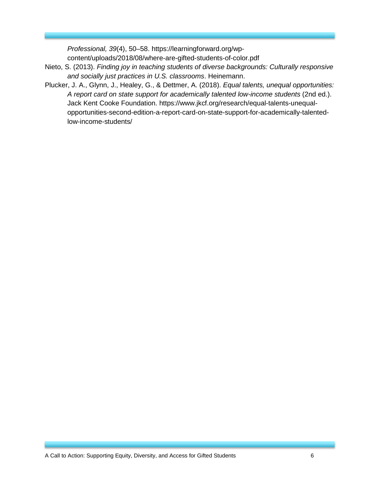*Professional, 39*(4), 50–58. https://learningforward.org/wpcontent/uploads/2018/08/where-are-gifted-students-of-color.pdf

- Nieto, S. (2013). *Finding joy in teaching students of diverse backgrounds: Culturally responsive and socially just practices in U.S. classrooms*. Heinemann.
- Plucker, J. A., Glynn, J., Healey, G., & Dettmer, A. (2018). *Equal talents, unequal opportunities: A report card on state support for academically talented low-income students* (2nd ed.). Jack Kent Cooke Foundation. [https://www.jkcf.org/research/equal-talents-unequal](https://www.jkcf.org/research/equal-talents-unequal-opportunities-second-edition-a-report-card-on-state-support-for-academically-talented-low-income-students/)[opportunities-second-edition-a-report-card-on-state-support-for-academically-talented](https://www.jkcf.org/research/equal-talents-unequal-opportunities-second-edition-a-report-card-on-state-support-for-academically-talented-low-income-students/)[low-income-students/](https://www.jkcf.org/research/equal-talents-unequal-opportunities-second-edition-a-report-card-on-state-support-for-academically-talented-low-income-students/)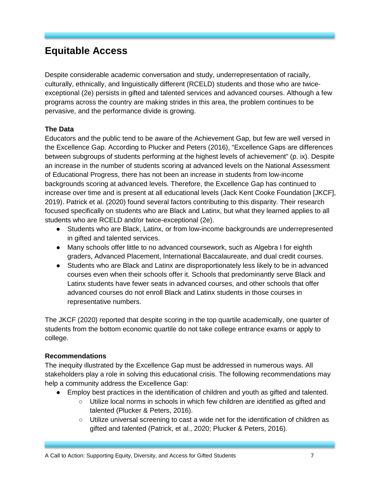# <span id="page-7-0"></span>**Equitable Access**

Despite considerable academic conversation and study, underrepresentation of racially, culturally, ethnically, and linguistically different (RCELD) students and those who are twiceexceptional (2e) persists in gifted and talented services and advanced courses. Although a few programs across the country are making strides in this area, the problem continues to be pervasive, and the performance divide is growing.

### **The Data**

Educators and the public tend to be aware of the Achievement Gap, but few are well versed in the Excellence Gap. According to Plucker and Peters (2016), "Excellence Gaps are differences between subgroups of students performing at the highest levels of achievement" (p. ix). Despite an increase in the number of students scoring at advanced levels on the National Assessment of Educational Progress, there has not been an increase in students from low-income backgrounds scoring at advanced levels. Therefore, the Excellence Gap has continued to increase over time and is present at all educational levels (Jack Kent Cooke Foundation [JKCF], 2019). Patrick et al. (2020) found several factors contributing to this disparity. Their research focused specifically on students who are Black and Latinx, but what they learned applies to all students who are RCELD and/or twice-exceptional (2e).

- Students who are Black, Latinx, or from low-income backgrounds are underrepresented in gifted and talented services.
- Many schools offer little to no advanced coursework, such as Algebra I for eighth graders, Advanced Placement, International Baccalaureate, and dual credit courses.
- Students who are Black and Latinx are disproportionately less likely to be in advanced courses even when their schools offer it. Schools that predominantly serve Black and Latinx students have fewer seats in advanced courses, and other schools that offer advanced courses do not enroll Black and Latinx students in those courses in representative numbers.

The JKCF (2020) reported that despite scoring in the top quartile academically, one quarter of students from the bottom economic quartile do not take college entrance exams or apply to college.

#### **Recommendations**

The inequity illustrated by the Excellence Gap must be addressed in numerous ways. All stakeholders play a role in solving this educational crisis. The following recommendations may help a community address the Excellence Gap:

- Employ best practices in the identification of children and youth as gifted and talented.
	- Utilize local norms in schools in which few children are identified as gifted and talented (Plucker & Peters, 2016).
	- Utilize universal screening to cast a wide net for the identification of children as gifted and talented (Patrick, et al., 2020; Plucker & Peters, 2016).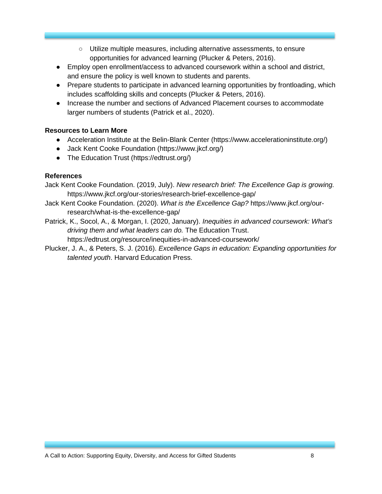- Utilize multiple measures, including alternative assessments, to ensure opportunities for advanced learning (Plucker & Peters, 2016).
- Employ open enrollment/access to advanced coursework within a school and district, and ensure the policy is well known to students and parents.
- Prepare students to participate in advanced learning opportunities by frontloading, which includes scaffolding skills and concepts (Plucker & Peters, 2016).
- Increase the number and sections of Advanced Placement courses to accommodate larger numbers of students (Patrick et al., 2020).

- Acceleration Institute at the Belin-Blank Center [\(https://www.accelerationinstitute.org/\)](https://www.accelerationinstitute.org/)
- Jack Kent Cooke Foundation [\(https://www.jkcf.org/\)](https://www.jkcf.org/)
- The Education Trust [\(https://edtrust.org/\)](https://edtrust.org/)

#### **References**

Jack Kent Cooke Foundation. (2019, July). *New research brief: The Excellence Gap is growing.*  <https://www.jkcf.org/our-stories/research-brief-excellence-gap/>

Jack Kent Cooke Foundation. (2020). *What is the Excellence Gap?* https://www.jkcf.org/ourresearch/what-is-the-excellence-gap/

Patrick, K., Socol, A., & Morgan, I. (2020, January). *Inequities in advanced coursework: What's driving them and what leaders can do.* The Education Trust. https://edtrust.org/resource/inequities-in-advanced-coursework/

Plucker, J. A., & Peters, S. J. (2016). *Excellence Gaps in education: Expanding opportunities for talented youth*. Harvard Education Press.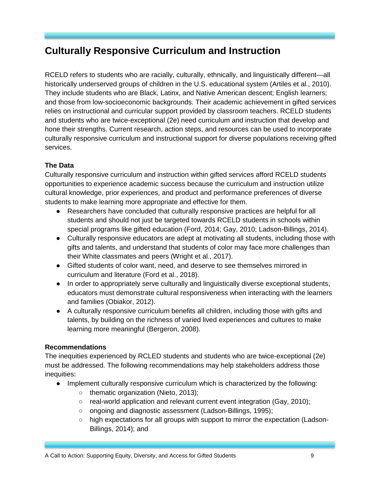# <span id="page-9-0"></span>**Culturally Responsive Curriculum and Instruction**

RCELD refers to students who are racially, culturally, ethnically, and linguistically different—all historically underserved groups of children in the U.S. educational system (Artiles et al., 2010). They include students who are Black, Latinx, and Native American descent; English learners; and those from low-socioeconomic backgrounds. Their academic achievement in gifted services relies on instructional and curricular support provided by classroom teachers. RCELD students and students who are twice-exceptional (2e) need curriculum and instruction that develop and hone their strengths. Current research, action steps, and resources can be used to incorporate culturally responsive curriculum and instructional support for diverse populations receiving gifted services.

# **The Data**

Culturally responsive curriculum and instruction within gifted services afford RCELD students opportunities to experience academic success because the curriculum and instruction utilize cultural knowledge, prior experiences, and product and performance preferences of diverse students to make learning more appropriate and effective for them.

- Researchers have concluded that culturally responsive practices are helpful for all students and should not just be targeted towards RCELD students in schools within special programs like gifted education (Ford, 2014; Gay, 2010; Ladson-Billings, 2014).
- Culturally responsive educators are adept at motivating all students, including those with gifts and talents, and understand that students of color may face more challenges than their White classmates and peers (Wright et al., 2017).
- Gifted students of color want, need, and deserve to see themselves mirrored in curriculum and literature (Ford et al., 2018).
- In order to appropriately serve culturally and linguistically diverse exceptional students, educators must demonstrate cultural responsiveness when interacting with the learners and families (Obiakor, 2012).
- A culturally responsive curriculum benefits all children, including those with gifts and talents, by building on the richness of varied lived experiences and cultures to make learning more meaningful (Bergeron, 2008).

# **Recommendations**

The inequities experienced by RCLED students and students who are twice-exceptional (2e) must be addressed. The following recommendations may help stakeholders address those inequities:

- Implement culturally responsive curriculum which is characterized by the following:
	- thematic organization (Nieto, 2013);
	- real-world application and relevant current event integration (Gay, 2010);
	- ongoing and diagnostic assessment (Ladson-Billings, 1995);
	- high expectations for all groups with support to mirror the expectation (Ladson-Billings, 2014); and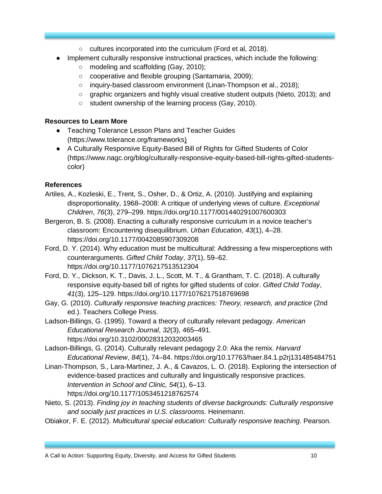- cultures incorporated into the curriculum (Ford et al, 2018).
- Implement culturally responsive instructional practices, which include the following:
	- modeling and scaffolding (Gay, 2010);
	- cooperative and flexible grouping (Santamaria, 2009);
	- inquiry-based classroom environment (Linan-Thompson et al., 2018);
	- graphic organizers and highly visual creative student outputs (Nieto, 2013); and
	- student ownership of the learning process (Gay, 2010).

- Teaching Tolerance Lesson Plans and Teacher Guides (https://www.tolerance.org/frameworks)
- A Culturally Responsive Equity-Based Bill of Rights for Gifted Students of Color (https://www.nagc.org/blog/culturally-responsive-equity-based-bill-rights-gifted-studentscolor)

# **References**

- Artiles, A., Kozleski, E., Trent, S., Osher, D., & Ortiz, A. (2010). Justifying and explaining disproportionality, 1968–2008: A critique of underlying views of culture. *Exceptional Children*, *76*(3), 279–299. https://doi.org/10.1177/001440291007600303
- Bergeron, B. S. (2008). Enacting a culturally responsive curriculum in a novice teacher's classroom: Encountering disequilibrium. *Urban Education*, *43*(1), 4–28. https://doi.org[/10.1177/0042085907309208](https://doi-org.proxy.tamuc.edu/10.1177/0042085907309208)
- Ford, D. Y. (2014). Why education must be multicultural: Addressing a few misperceptions with counterarguments. *Gifted Child Today*, *37*(1), 59–62. https://doi.org/10.1177/1076217513512304
- Ford, D. Y., Dickson, K. T., Davis, J. L., Scott, M. T., & Grantham, T. C. (2018). A culturally responsive equity-based bill of rights for gifted students of color. *Gifted Child Today*, *41*(3), 125–129.<https://doi.org/10.1177/1076217518769698>
- Gay, G. (2010). *Culturally responsive teaching practices: Theory, research, and practice* (2nd ed.). Teachers College Press.
- Ladson-Billings, G. (1995). Toward a theory of culturally relevant pedagogy. *American Educational Research Journal*, *32*(3), 465–491. https://doi.org/10.3102/00028312032003465
- Ladson-Billings, G. (2014). Culturally relevant pedagogy 2.0: Aka the remix. *Harvard Educational Review*, *84*(1), 74–84. https://doi.org/10.17763/haer.84.1.p2rj131485484751
- Linan-Thompson, S., Lara-Martinez, J. A., & Cavazos, L. O. (2018). Exploring the intersection of evidence-based practices and culturally and linguistically responsive practices. *Intervention in School and Clinic, 54*(1), 6–13. <https://doi.org/10.1177/1053451218762574>
- Nieto, S. (2013). *Finding joy in teaching students of diverse backgrounds: Culturally responsive and socially just practices in U.S. classrooms*. Heinemann.
- Obiakor, F. E. (2012). *Multicultural special education: Culturally responsive teaching*. Pearson.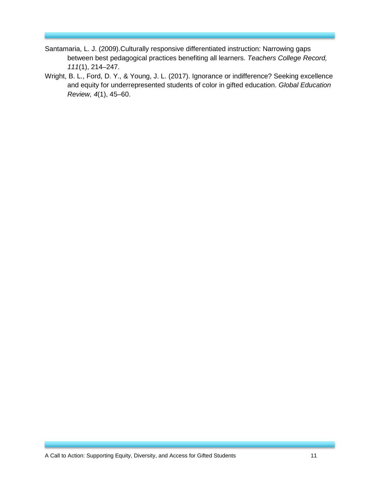- Santamaria, L. J. (2009).Culturally responsive differentiated instruction: Narrowing gaps between best pedagogical practices benefiting all learners. *Teachers College Record, 111*(1), 214–247.
- Wright, B. L., Ford, D. Y., & Young, J. L. (2017). Ignorance or indifference? Seeking excellence and equity for underrepresented students of color in gifted education. *Global Education Review, 4*(1), 45–60.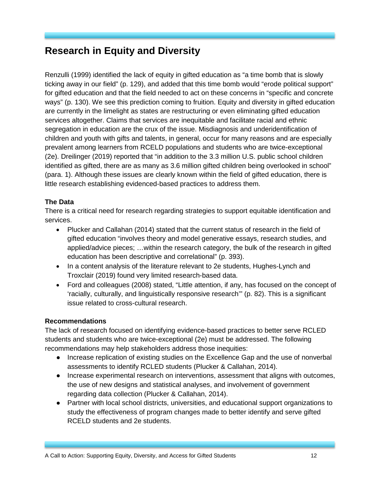# <span id="page-12-0"></span>**Research in Equity and Diversity**

Renzulli (1999) identified the lack of equity in gifted education as "a time bomb that is slowly ticking away in our field" (p. 129), and added that this time bomb would "erode political support" for gifted education and that the field needed to act on these concerns in "specific and concrete ways" (p. 130). We see this prediction coming to fruition. Equity and diversity in gifted education are currently in the limelight as states are restructuring or even eliminating gifted education services altogether. Claims that services are inequitable and facilitate racial and ethnic segregation in education are the crux of the issue. Misdiagnosis and underidentification of children and youth with gifts and talents, in general, occur for many reasons and are especially prevalent among learners from RCELD populations and students who are twice-exceptional (2e). Dreilinger (2019) reported that "in addition to the 3.3 million U.S. public school children identified as gifted, there are as many as 3.6 million gifted children being overlooked in school" (para. 1). Although these issues are clearly known within the field of gifted education, there is little research establishing evidenced-based practices to address them.

### **The Data**

There is a critical need for research regarding strategies to support equitable identification and services.

- Plucker and Callahan (2014) stated that the current status of research in the field of gifted education "involves theory and model generative essays, research studies, and applied/advice pieces; …within the research category, the bulk of the research in gifted education has been descriptive and correlational" (p. 393).
- In a content analysis of the literature relevant to 2e students, Hughes-Lynch and Troxclair (2019) found very limited research-based data.
- Ford and colleagues (2008) stated, "Little attention, if any, has focused on the concept of 'racially, culturally, and linguistically responsive research'" (p. 82). This is a significant issue related to cross-cultural research.

#### **Recommendations**

The lack of research focused on identifying evidence-based practices to better serve RCLED students and students who are twice-exceptional (2e) must be addressed. The following recommendations may help stakeholders address those inequities:

- Increase replication of existing studies on the Excellence Gap and the use of nonverbal assessments to identify RCLED students (Plucker & Callahan, 2014).
- Increase experimental research on interventions, assessment that aligns with outcomes, the use of new designs and statistical analyses, and involvement of government regarding data collection (Plucker & Callahan, 2014).
- Partner with local school districts, universities, and educational support organizations to study the effectiveness of program changes made to better identify and serve gifted RCELD students and 2e students.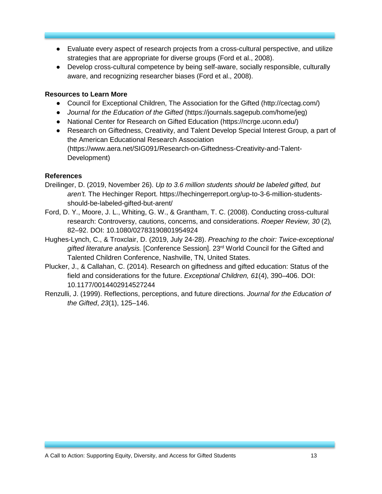- Evaluate every aspect of research projects from a cross-cultural perspective, and utilize strategies that are appropriate for diverse groups (Ford et al., 2008).
- Develop cross-cultural competence by being self-aware, socially responsible, culturally aware, and recognizing researcher biases (Ford et al., 2008).

- Council for Exceptional Children, The Association for the Gifted (http://cectag.com/)
- *Journal for the Education of the Gifted* (https://journals.sagepub.com/home/jeg)
- National Center for Research on Gifted Education [\(https://ncrge.uconn.edu/\)](https://ncrge.uconn.edu/)
- Research on Giftedness, Creativity, and Talent Develop Special Interest Group, a part of the American Educational Research Association [\(https://www.aera.net/SIG091/Research-on-Giftedness-Creativity-and-Talent-](https://www.aera.net/SIG091/Research-on-Giftedness-Creativity-and-Talent-Development)[Development\)](https://www.aera.net/SIG091/Research-on-Giftedness-Creativity-and-Talent-Development)

### **References**

- Dreilinger, D. (2019, November 26). *Up to 3.6 million students should be labeled gifted, but aren't.* The Hechinger Report. https://hechingerreport.org/up-to-3-6-million-studentsshould-be-labeled-gifted-but-arent/
- Ford, D. Y., Moore, J. L., Whiting, G. W., & Grantham, T. C. (2008). Conducting cross-cultural research: Controversy, cautions, concerns, and considerations. *Roeper Review, 30* (2)*,* 82–92. DOI: 10.1080/02783190801954924
- Hughes-Lynch, C., & Troxclair, D. (2019, July 24-28). *Preaching to the choir: Twice-exceptional*  gifted literature analysis. [Conference Session]. 23<sup>rd</sup> World Council for the Gifted and Talented Children Conference, Nashville, TN, United States.
- Plucker, J., & Callahan, C. (2014). Research on giftedness and gifted education: Status of the field and considerations for the future. *Exceptional Children, 61*(4), 390–406. DOI: 10.1177/0014402914527244
- Renzulli, J. (1999). Reflections, perceptions, and future directions. *Journal for the Education of the Gifted*, *23*(1), 125–146.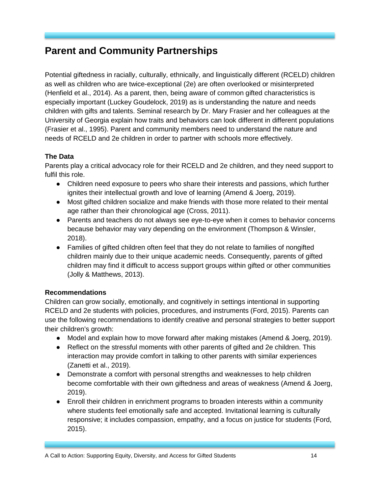# <span id="page-14-0"></span>**Parent and Community Partnerships**

Potential giftedness in racially, culturally, ethnically, and linguistically different (RCELD) children as well as children who are twice-exceptional (2e) are often overlooked or misinterpreted (Henfield et al., 2014). As a parent, then, being aware of common gifted characteristics is especially important (Luckey Goudelock, 2019) as is understanding the nature and needs children with gifts and talents. Seminal research by Dr. Mary Frasier and her colleagues at the University of Georgia explain how traits and behaviors can look different in different populations (Frasier et al., 1995). Parent and community members need to understand the nature and needs of RCELD and 2e children in order to partner with schools more effectively.

### **The Data**

Parents play a critical advocacy role for their RCELD and 2e children, and they need support to fulfil this role.

- Children need exposure to peers who share their interests and passions, which further ignites their intellectual growth and love of learning (Amend & Joerg, 2019).
- Most gifted children socialize and make friends with those more related to their mental age rather than their chronological age (Cross, 2011).
- Parents and teachers do not always see eye-to-eye when it comes to behavior concerns because behavior may vary depending on the environment (Thompson & Winsler, 2018).
- Families of gifted children often feel that they do not relate to families of nongifted children mainly due to their unique academic needs. Consequently, parents of gifted children may find it difficult to access support groups within gifted or other communities (Jolly & Matthews, 2013).

#### **Recommendations**

Children can grow socially, emotionally, and cognitively in settings intentional in supporting RCELD and 2e students with policies, procedures, and instruments (Ford, 2015). Parents can use the following recommendations to identify creative and personal strategies to better support their children's growth:

- Model and explain how to move forward after making mistakes (Amend & Joerg, 2019).
- Reflect on the stressful moments with other parents of gifted and 2e children. This interaction may provide comfort in talking to other parents with similar experiences (Zanetti et al., 2019).
- Demonstrate a comfort with personal strengths and weaknesses to help children become comfortable with their own giftedness and areas of weakness (Amend & Joerg, 2019).
- Enroll their children in enrichment programs to broaden interests within a community where students feel emotionally safe and accepted. Invitational learning is culturally responsive; it includes compassion, empathy, and a focus on justice for students (Ford, 2015).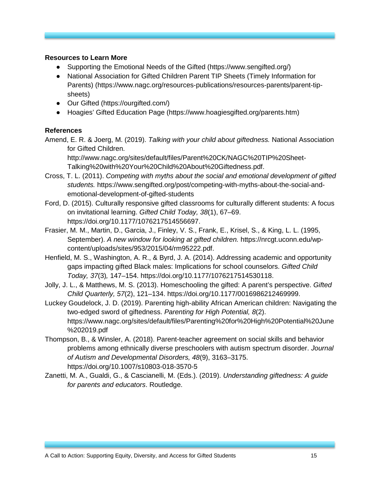- Supporting the Emotional Needs of the Gifted [\(https://www.sengifted.org/\)](https://www.sengifted.org/)
- National Association for Gifted Children Parent TIP Sheets (Timely Information for Parents) (https://www.nagc.org/resources-publications/resources-parents/parent-tipsheets)
- Our Gifted [\(https://ourgifted.com/\)](https://ourgifted.com/)
- Hoagies' Gifted Education Page (https://www.hoagiesgifted.org/parents.htm)

#### **References**

Amend, E. R. & Joerg, M. (2019). *Talking with your child about giftedness.* National Association for Gifted Children.

http://www.nagc.org/sites/default/files/Parent%20CK/NAGC%20TIP%20Sheet-Talking%20with%20Your%20Child%20About%20Giftedness.pdf.

- Cross, T. L. (2011). *Competing with myths about the social and emotional development of gifted students.* https://www.sengifted.org/post/competing-with-myths-about-the-social-andemotional-development-of-gifted-students
- Ford, D. (2015). Culturally responsive gifted classrooms for culturally different students: A focus on invitational learning. *Gifted Child Today, 38*(1), 67–69. [https://doi.org/10.1177/1076217514556697.](https://doi.org/10.1177/1076217514556697)
- Frasier, M. M., Martin, D., Garcia, J., Finley, V. S., Frank, E., Krisel, S., & King, L. L. (1995, September). *A new window for looking at gifted children.* [https://nrcgt.uconn.edu/wp](https://nrcgt.uconn.edu/wp-content/uploads/sites/953/2015/04/rm95222.pdf)[content/uploads/sites/953/2015/04/rm95222.pdf.](https://nrcgt.uconn.edu/wp-content/uploads/sites/953/2015/04/rm95222.pdf)
- Henfield, M. S., Washington, A. R., & Byrd, J. A. (2014). Addressing academic and opportunity gaps impacting gifted Black males: Implications for school counselors. *Gifted Child Today, 37*(3)*,* 147–154. [https://doi.org/10.1177/1076217514530118.](https://doi.org/10.1177/1076217514530118)
- Jolly, J. L., & Matthews, M. S. (2013). Homeschooling the gifted: A parent's perspective. *Gifted Child Quarterly, 57*(2), 121–134. [https://doi.org/10.1177/0016986212469999.](https://doi.org/10.1177%2F0016986212469999)
- Luckey Goudelock, J. D. (2019). Parenting high-ability African American children: Navigating the two-edged sword of giftedness. *Parenting for High Potential, 8*(2). [https://www.nagc.org/sites/default/files/Parenting%20for%20High%20Potential%20June](https://www.nagc.org/sites/default/files/Parenting%20for%20High%20Potential%20June%202019.pdf) [%202019.pdf](https://www.nagc.org/sites/default/files/Parenting%20for%20High%20Potential%20June%202019.pdf)
- Thompson, B., & Winsler, A. (2018). Parent-teacher agreement on social skills and behavior problems among ethnically diverse preschoolers with autism spectrum disorder. *Journal of Autism and Developmental Disorders, 48*(9), 3163–3175. https://doi.org/10.1007/s10803-018-3570-5
- Zanetti, M. A., Gualdi, G., & Cascianelli, M. (Eds.). (2019). *Understanding giftedness: A guide for parents and educators*. Routledge.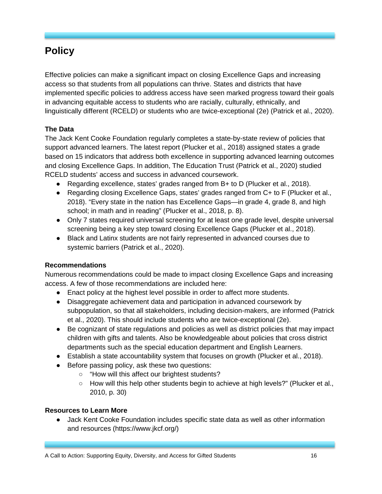# <span id="page-16-0"></span>**Policy**

Effective policies can make a significant impact on closing Excellence Gaps and increasing access so that students from all populations can thrive. States and districts that have implemented specific policies to address access have seen marked progress toward their goals in advancing equitable access to students who are racially, culturally, ethnically, and linguistically different (RCELD) or students who are twice-exceptional (2e) (Patrick et al., 2020).

# **The Data**

The Jack Kent Cooke Foundation regularly completes a state-by-state review of policies that support advanced learners. The latest report (Plucker et al., 2018) assigned states a grade based on 15 indicators that address both excellence in supporting advanced learning outcomes and closing Excellence Gaps. In addition, The Education Trust (Patrick et al., 2020) studied RCELD students' access and success in advanced coursework.

- Regarding excellence, states' grades ranged from B+ to D (Plucker et al., 2018).
- Regarding closing Excellence Gaps, states' grades ranged from C+ to F (Plucker et al., 2018). "Every state in the nation has Excellence Gaps—in grade 4, grade 8, and high school; in math and in reading" (Plucker et al., 2018, p. 8).
- Only 7 states required universal screening for at least one grade level, despite universal screening being a key step toward closing Excellence Gaps (Plucker et al., 2018).
- Black and Latinx students are not fairly represented in advanced courses due to systemic barriers (Patrick et al., 2020).

# **Recommendations**

Numerous recommendations could be made to impact closing Excellence Gaps and increasing access. A few of those recommendations are included here:

- Enact policy at the highest level possible in order to affect more students.
- Disaggregate achievement data and participation in advanced coursework by subpopulation, so that all stakeholders, including decision-makers, are informed (Patrick et al., 2020). This should include students who are twice-exceptional (2e).
- Be cognizant of state regulations and policies as well as district policies that may impact children with gifts and talents. Also be knowledgeable about policies that cross district departments such as the special education department and English Learners.
- Establish a state accountability system that focuses on growth (Plucker et al., 2018).
- Before passing policy, ask these two questions:
	- "How will this affect our brightest students?
	- How will this help other students begin to achieve at high levels?" (Plucker et al., 2010, p. 30)

# **Resources to Learn More**

● Jack Kent Cooke Foundation includes specific state data as well as other information and resources [\(https://www.jkcf.org/\)](https://www.jkcf.org/)